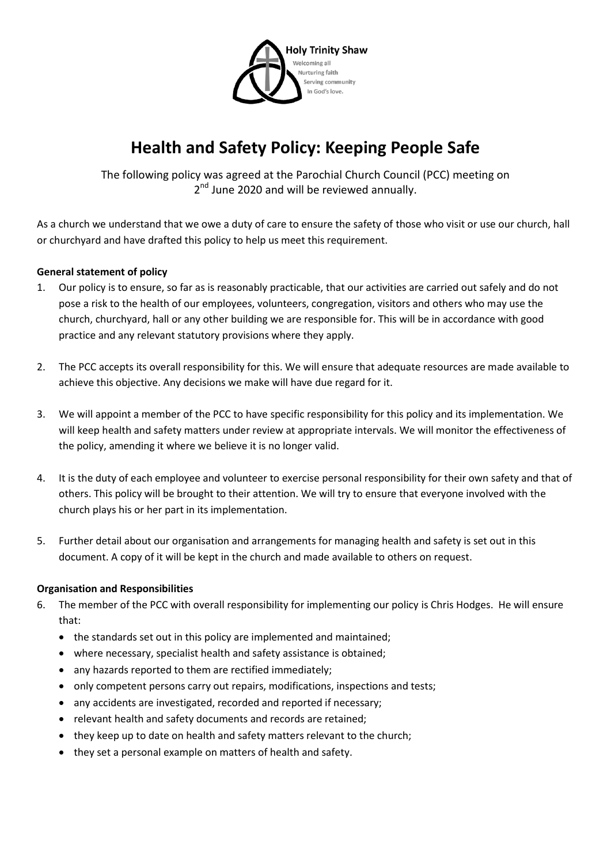

# **Health and Safety Policy: Keeping People Safe**

The following policy was agreed at the Parochial Church Council (PCC) meeting on 2<sup>nd</sup> June 2020 and will be reviewed annually.

As a church we understand that we owe a duty of care to ensure the safety of those who visit or use our church, hall or churchyard and have drafted this policy to help us meet this requirement.

## **General statement of policy**

- 1. Our policy is to ensure, so far as is reasonably practicable, that our activities are carried out safely and do not pose a risk to the health of our employees, volunteers, congregation, visitors and others who may use the church, churchyard, hall or any other building we are responsible for. This will be in accordance with good practice and any relevant statutory provisions where they apply.
- 2. The PCC accepts its overall responsibility for this. We will ensure that adequate resources are made available to achieve this objective. Any decisions we make will have due regard for it.
- 3. We will appoint a member of the PCC to have specific responsibility for this policy and its implementation. We will keep health and safety matters under review at appropriate intervals. We will monitor the effectiveness of the policy, amending it where we believe it is no longer valid.
- 4. It is the duty of each employee and volunteer to exercise personal responsibility for their own safety and that of others. This policy will be brought to their attention. We will try to ensure that everyone involved with the church plays his or her part in its implementation.
- 5. Further detail about our organisation and arrangements for managing health and safety is set out in this document. A copy of it will be kept in the church and made available to others on request.

## **Organisation and Responsibilities**

- 6. The member of the PCC with overall responsibility for implementing our policy is Chris Hodges. He will ensure that:
	- the standards set out in this policy are implemented and maintained;
	- where necessary, specialist health and safety assistance is obtained;
	- any hazards reported to them are rectified immediately;
	- only competent persons carry out repairs, modifications, inspections and tests;
	- any accidents are investigated, recorded and reported if necessary;
	- relevant health and safety documents and records are retained;
	- they keep up to date on health and safety matters relevant to the church;
	- they set a personal example on matters of health and safety.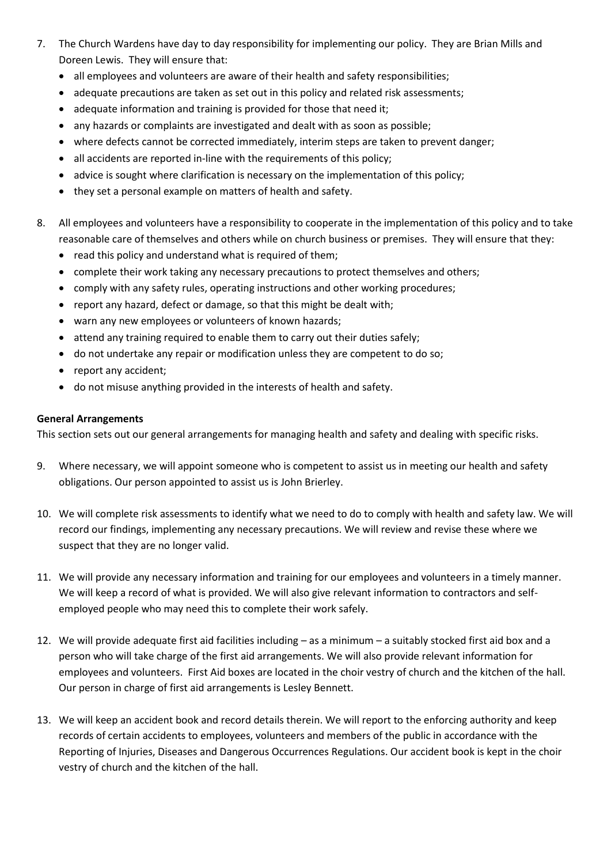- 7. The Church Wardens have day to day responsibility for implementing our policy. They are Brian Mills and Doreen Lewis. They will ensure that:
	- all employees and volunteers are aware of their health and safety responsibilities;
	- adequate precautions are taken as set out in this policy and related risk assessments;
	- adequate information and training is provided for those that need it;
	- any hazards or complaints are investigated and dealt with as soon as possible;
	- where defects cannot be corrected immediately, interim steps are taken to prevent danger;
	- all accidents are reported in-line with the requirements of this policy;
	- advice is sought where clarification is necessary on the implementation of this policy;
	- they set a personal example on matters of health and safety.
- 8. All employees and volunteers have a responsibility to cooperate in the implementation of this policy and to take reasonable care of themselves and others while on church business or premises. They will ensure that they:
	- read this policy and understand what is required of them;
	- complete their work taking any necessary precautions to protect themselves and others;
	- comply with any safety rules, operating instructions and other working procedures;
	- report any hazard, defect or damage, so that this might be dealt with;
	- warn any new employees or volunteers of known hazards;
	- attend any training required to enable them to carry out their duties safely;
	- do not undertake any repair or modification unless they are competent to do so;
	- report any accident;
	- do not misuse anything provided in the interests of health and safety.

### **General Arrangements**

This section sets out our general arrangements for managing health and safety and dealing with specific risks.

- 9. Where necessary, we will appoint someone who is competent to assist us in meeting our health and safety obligations. Our person appointed to assist us is John Brierley.
- 10. We will complete risk assessments to identify what we need to do to comply with health and safety law. We will record our findings, implementing any necessary precautions. We will review and revise these where we suspect that they are no longer valid.
- 11. We will provide any necessary information and training for our employees and volunteers in a timely manner. We will keep a record of what is provided. We will also give relevant information to contractors and selfemployed people who may need this to complete their work safely.
- 12. We will provide adequate first aid facilities including as a minimum a suitably stocked first aid box and a person who will take charge of the first aid arrangements. We will also provide relevant information for employees and volunteers. First Aid boxes are located in the choir vestry of church and the kitchen of the hall. Our person in charge of first aid arrangements is Lesley Bennett.
- 13. We will keep an accident book and record details therein. We will report to the enforcing authority and keep records of certain accidents to employees, volunteers and members of the public in accordance with the Reporting of Injuries, Diseases and Dangerous Occurrences Regulations. Our accident book is kept in the choir vestry of church and the kitchen of the hall.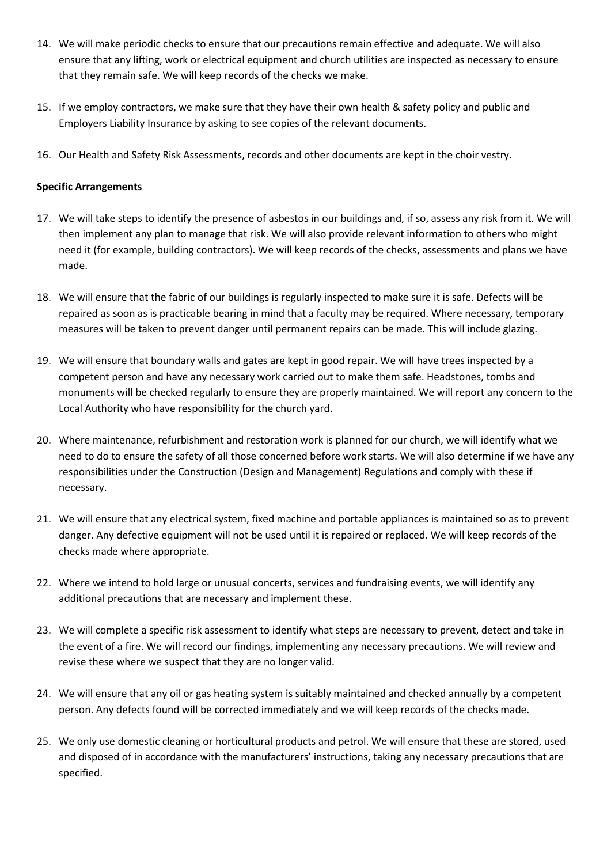- 14. We will make periodic checks to ensure that our precautions remain effective and adequate. We will also ensure that any lifting, work or electrical equipment and church utilities are inspected as necessary to ensure that they remain safe. We will keep records of the checks we make.
- 15. If we employ contractors, we make sure that they have their own health & safety policy and public and Employers Liability Insurance by asking to see copies of the relevant documents.
- 16. Our Health and Safety Risk Assessments, records and other documents are kept in the choir vestry.

### **Specific Arrangements**

- 17. We will take steps to identify the presence of asbestos in our buildings and, if so, assess any risk from it. We will then implement any plan to manage that risk. We will also provide relevant information to others who might need it (for example, building contractors). We will keep records of the checks, assessments and plans we have made.
- 18. We will ensure that the fabric of our buildings is regularly inspected to make sure it is safe. Defects will be repaired as soon as is practicable bearing in mind that a faculty may be required. Where necessary, temporary measures will be taken to prevent danger until permanent repairs can be made. This will include glazing.
- 19. We will ensure that boundary walls and gates are kept in good repair. We will have trees inspected by a competent person and have any necessary work carried out to make them safe. Headstones, tombs and monuments will be checked regularly to ensure they are properly maintained. We will report any concern to the Local Authority who have responsibility for the church yard.
- 20. Where maintenance, refurbishment and restoration work is planned for our church, we will identify what we need to do to ensure the safety of all those concerned before work starts. We will also determine if we have any responsibilities under the Construction (Design and Management) Regulations and comply with these if necessary.
- 21. We will ensure that any electrical system, fixed machine and portable appliances is maintained so as to prevent danger. Any defective equipment will not be used until it is repaired or replaced. We will keep records of the checks made where appropriate.
- 22. Where we intend to hold large or unusual concerts, services and fundraising events, we will identify any additional precautions that are necessary and implement these.
- 23. We will complete a specific risk assessment to identify what steps are necessary to prevent, detect and take in the event of a fire. We will record our findings, implementing any necessary precautions. We will review and revise these where we suspect that they are no longer valid.
- 24. We will ensure that any oil or gas heating system is suitably maintained and checked annually by a competent person. Any defects found will be corrected immediately and we will keep records of the checks made.
- 25. We only use domestic cleaning or horticultural products and petrol. We will ensure that these are stored, used and disposed of in accordance with the manufacturers' instructions, taking any necessary precautions that are specified.